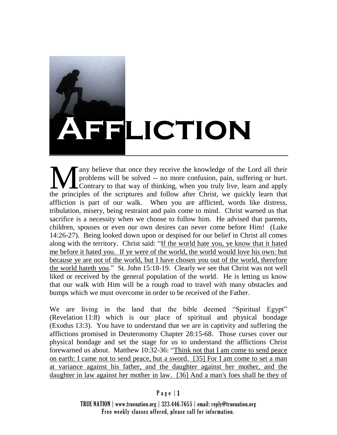## **Affliction**

any believe that once they receive the knowledge of the Lord all their problems will be solved -- no more confusion, pain, suffering or hurt. Contrary to that way of thinking, when you truly live, learn and apply A any believe that once they receive the knowledge of the Lord all their problems will be solved -- no more confusion, pain, suffering or hurt.<br>Contrary to that way of thinking, when you truly live, learn and apply the pri affliction is part of our walk. When you are afflicted, words like distress, tribulation, misery, being restraint and pain come to mind. Christ warned us that sacrifice is a necessity when we choose to follow him. He advised that parents, children, spouses or even our own desires can never come before Him! (Luke 14:26-27). Being looked down upon or despised for our belief in Christ all comes along with the territory. Christ said: "If the world hate you, ye know that it hated me before it hated you. If ye were of the world, the world would love his own: but because ye are not of the world, but I have chosen you out of the world, therefore the world hateth you." St. John 15:18-19. Clearly we see that Christ was not well liked or received by the general population of the world. He is letting us know that our walk with Him will be a rough road to travel with many obstacles and bumps which we must overcome in order to be received of the Father.

We are living in the land that the bible deemed "Spiritual Egypt" (Revelation 11:8) which is our place of spiritual and physical bondage (Exodus 13:3). You have to understand that we are in captivity and suffering the afflictions promised in Deuteronomy Chapter 28:15-68. Those curses cover our physical bondage and set the stage for us to understand the afflictions Christ forewarned us about. Matthew 10:32-36: "Think not that I am come to send peace on earth: I came not to send peace, but a sword. [35] For I am come to set a man at variance against his father, and the daughter against her mother, and the daughter in law against her mother in law. [36] And a man's foes shall be they of

## Page  $|1$

TRUE NATION | www.truenation.org | 323.446.7655 | email: reply@truenation.org Free weekly classes offered, please call for information.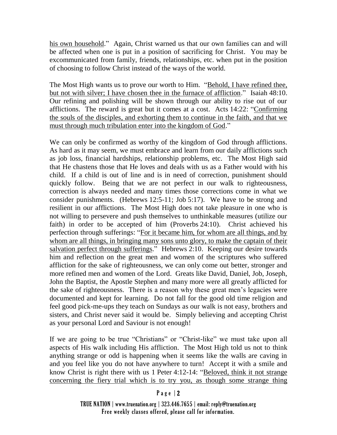his own household." Again, Christ warned us that our own families can and will be affected when one is put in a position of sacrificing for Christ. You may be excommunicated from family, friends, relationships, etc. when put in the position of choosing to follow Christ instead of the ways of the world.

The Most High wants us to prove our worth to Him. "Behold, I have refined thee, but not with silver; I have chosen thee in the furnace of affliction." Isaiah 48:10. Our refining and polishing will be shown through our ability to rise out of our afflictions. The reward is great but it comes at a cost. Acts 14:22: "Confirming the souls of the disciples, and exhorting them to continue in the faith, and that we must through much tribulation enter into the kingdom of God."

We can only be confirmed as worthy of the kingdom of God through afflictions. As hard as it may seem, we must embrace and learn from our daily afflictions such as job loss, financial hardships, relationship problems, etc. The Most High said that He chastens those that He loves and deals with us as a Father would with his child. If a child is out of line and is in need of correction, punishment should quickly follow. Being that we are not perfect in our walk to righteousness, correction is always needed and many times those corrections come in what we consider punishments. (Hebrews 12:5-11; Job 5:17). We have to be strong and resilient in our afflictions. The Most High does not take pleasure in one who is not willing to persevere and push themselves to unthinkable measures (utilize our faith) in order to be accepted of him (Proverbs 24:10). Christ achieved his perfection through sufferings: "For it became him, for whom are all things, and by whom are all things, in bringing many sons unto glory, to make the captain of their salvation perfect through sufferings." Hebrews 2:10. Keeping our desire towards him and reflection on the great men and women of the scriptures who suffered affliction for the sake of righteousness, we can only come out better, stronger and more refined men and women of the Lord. Greats like David, Daniel, Job, Joseph, John the Baptist, the Apostle Stephen and many more were all greatly afflicted for the sake of righteousness. There is a reason why these great men's legacies were documented and kept for learning. Do not fall for the good old time religion and feel good pick-me-ups they teach on Sundays as our walk is not easy, brothers and sisters, and Christ never said it would be. Simply believing and accepting Christ as your personal Lord and Saviour is not enough!

If we are going to be true "Christians" or "Christ-like" we must take upon all aspects of His walk including His affliction. The Most High told us not to think anything strange or odd is happening when it seems like the walls are caving in and you feel like you do not have anywhere to turn! Accept it with a smile and know Christ is right there with us 1 Peter 4:12-14: "Beloved, think it not strange concerning the fiery trial which is to try you, as though some strange thing

## $P$  a g e | 2

TRUE NATION | www.truenation.org | 323.446.7655 | email: reply@truenation.org Free weekly classes offered, please call for information.